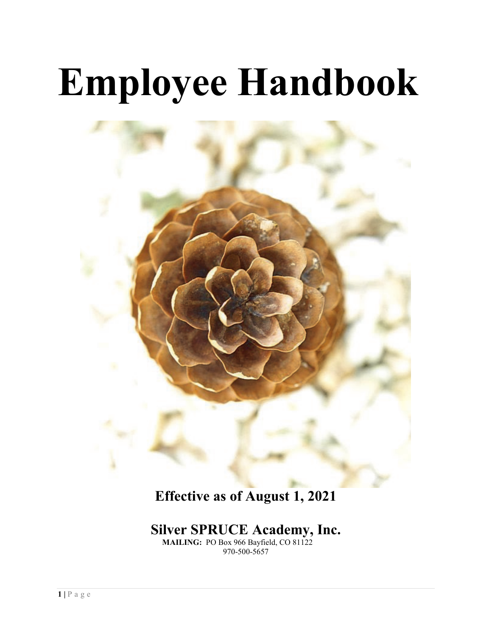# **Employee Handbook**



**Effective as of August 1, 2021**

# **Silver SPRUCE Academy, Inc.**

 **MAILING:** PO Box 966 Bayfield, CO 81122 970-500-5657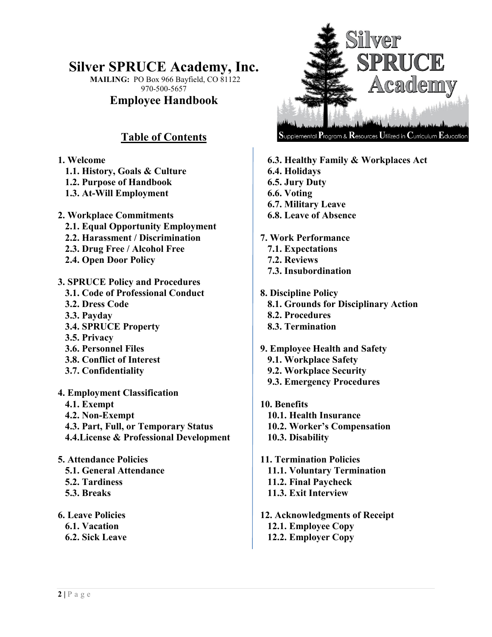# **Silver SPRUCE Academy, Inc.**

 **MAILING:** PO Box 966 Bayfield, CO 81122 970-500-5657

# **Employee Handbook**

# **Table of Contents**

- **1. Welcome** 
	- **1.1. History, Goals & Culture**
	- **1.2. Purpose of Handbook**
	- **1.3. At-Will Employment**
- **2. Workplace Commitments** 
	- **2.1. Equal Opportunity Employment**
	- **2.2. Harassment / Discrimination**
	- **2.3. Drug Free / Alcohol Free**
	- **2.4. Open Door Policy**
- **3. SPRUCE Policy and Procedures** 
	- **3.1. Code of Professional Conduct**
	- **3.2. Dress Code**
	- **3.3. Payday**
	- **3.4. SPRUCE Property**
	- **3.5. Privacy**
	- **3.6. Personnel Files**
	- **3.8. Conflict of Interest**
	- **3.7. Confidentiality**
- **4. Employment Classification** 
	- **4.1. Exempt**
	- **4.2. Non-Exempt**
	- **4.3. Part, Full, or Temporary Status**
	- **4.4.License & Professional Development**
- **5. Attendance Policies** 
	- **5.1. General Attendance**
	- **5.2. Tardiness**
	- **5.3. Breaks**
- **6. Leave Policies** 
	- **6.1. Vacation**
	- **6.2. Sick Leave**



- **6.3. Healthy Family & Workplaces Act 6.4. Holidays 6.5. Jury Duty 6.6. Voting 6.7. Military Leave 6.8. Leave of Absence 7. Work Performance 7.1. Expectations 7.2. Reviews** 
	- **7.3. Insubordination**
- **8. Discipline Policy 8.1. Grounds for Disciplinary Action 8.2. Procedures 8.3. Termination**
- **9. Employee Health and Safety 9.1. Workplace Safety 9.2. Workplace Security 9.3. Emergency Procedures**
- **10. Benefits 10.1. Health Insurance 10.2. Worker's Compensation 10.3. Disability**
- **11. Termination Policies 11.1. Voluntary Termination 11.2. Final Paycheck 11.3. Exit Interview**
- **12. Acknowledgments of Receipt 12.1. Employee Copy 12.2. Employer Copy**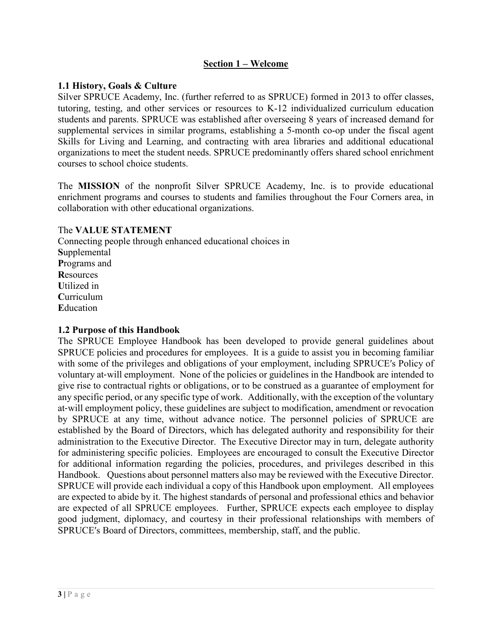#### **Section 1 – Welcome**

#### **1.1 History, Goals & Culture**

Silver SPRUCE Academy, Inc. (further referred to as SPRUCE) formed in 2013 to offer classes, tutoring, testing, and other services or resources to K-12 individualized curriculum education students and parents. SPRUCE was established after overseeing 8 years of increased demand for supplemental services in similar programs, establishing a 5-month co-op under the fiscal agent Skills for Living and Learning, and contracting with area libraries and additional educational organizations to meet the student needs. SPRUCE predominantly offers shared school enrichment courses to school choice students.

The **MISSION** of the nonprofit Silver SPRUCE Academy, Inc. is to provide educational enrichment programs and courses to students and families throughout the Four Corners area, in collaboration with other educational organizations.

#### The **VALUE STATEMENT**

Connecting people through enhanced educational choices in **S**upplemental **P**rograms and **R**esources **U**tilized in **C**urriculum **E**ducation

#### **1.2 Purpose of this Handbook**

The SPRUCE Employee Handbook has been developed to provide general guidelines about SPRUCE policies and procedures for employees. It is a guide to assist you in becoming familiar with some of the privileges and obligations of your employment, including SPRUCE's Policy of voluntary at-will employment. None of the policies or guidelines in the Handbook are intended to give rise to contractual rights or obligations, or to be construed as a guarantee of employment for any specific period, or any specific type of work. Additionally, with the exception of the voluntary at‐will employment policy, these guidelines are subject to modification, amendment or revocation by SPRUCE at any time, without advance notice. The personnel policies of SPRUCE are established by the Board of Directors, which has delegated authority and responsibility for their administration to the Executive Director. The Executive Director may in turn, delegate authority for administering specific policies. Employees are encouraged to consult the Executive Director for additional information regarding the policies, procedures, and privileges described in this Handbook. Questions about personnel matters also may be reviewed with the Executive Director. SPRUCE will provide each individual a copy of this Handbook upon employment. All employees are expected to abide by it. The highest standards of personal and professional ethics and behavior are expected of all SPRUCE employees. Further, SPRUCE expects each employee to display good judgment, diplomacy, and courtesy in their professional relationships with members of SPRUCEʹs Board of Directors, committees, membership, staff, and the public.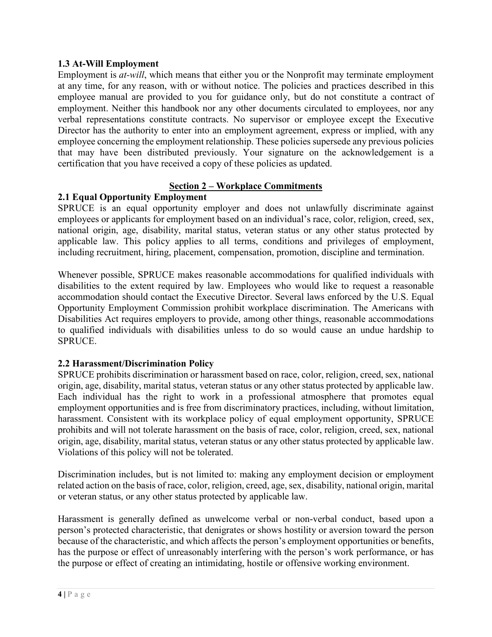#### **1.3 At-Will Employment**

Employment is *at-will*, which means that either you or the Nonprofit may terminate employment at any time, for any reason, with or without notice. The policies and practices described in this employee manual are provided to you for guidance only, but do not constitute a contract of employment. Neither this handbook nor any other documents circulated to employees, nor any verbal representations constitute contracts. No supervisor or employee except the Executive Director has the authority to enter into an employment agreement, express or implied, with any employee concerning the employment relationship. These policies supersede any previous policies that may have been distributed previously. Your signature on the acknowledgement is a certification that you have received a copy of these policies as updated.

#### **Section 2 – Workplace Commitments**

#### **2.1 Equal Opportunity Employment**

SPRUCE is an equal opportunity employer and does not unlawfully discriminate against employees or applicants for employment based on an individual's race, color, religion, creed, sex, national origin, age, disability, marital status, veteran status or any other status protected by applicable law. This policy applies to all terms, conditions and privileges of employment, including recruitment, hiring, placement, compensation, promotion, discipline and termination.

Whenever possible, SPRUCE makes reasonable accommodations for qualified individuals with disabilities to the extent required by law. Employees who would like to request a reasonable accommodation should contact the Executive Director. Several laws enforced by the U.S. Equal Opportunity Employment Commission prohibit workplace discrimination. The Americans with Disabilities Act requires employers to provide, among other things, reasonable accommodations to qualified individuals with disabilities unless to do so would cause an undue hardship to SPRUCE.

#### **2.2 Harassment/Discrimination Policy**

SPRUCE prohibits discrimination or harassment based on race, color, religion, creed, sex, national origin, age, disability, marital status, veteran status or any other status protected by applicable law. Each individual has the right to work in a professional atmosphere that promotes equal employment opportunities and is free from discriminatory practices, including, without limitation, harassment. Consistent with its workplace policy of equal employment opportunity, SPRUCE prohibits and will not tolerate harassment on the basis of race, color, religion, creed, sex, national origin, age, disability, marital status, veteran status or any other status protected by applicable law. Violations of this policy will not be tolerated.

Discrimination includes, but is not limited to: making any employment decision or employment related action on the basis of race, color, religion, creed, age, sex, disability, national origin, marital or veteran status, or any other status protected by applicable law.

Harassment is generally defined as unwelcome verbal or non-verbal conduct, based upon a person's protected characteristic, that denigrates or shows hostility or aversion toward the person because of the characteristic, and which affects the person's employment opportunities or benefits, has the purpose or effect of unreasonably interfering with the person's work performance, or has the purpose or effect of creating an intimidating, hostile or offensive working environment.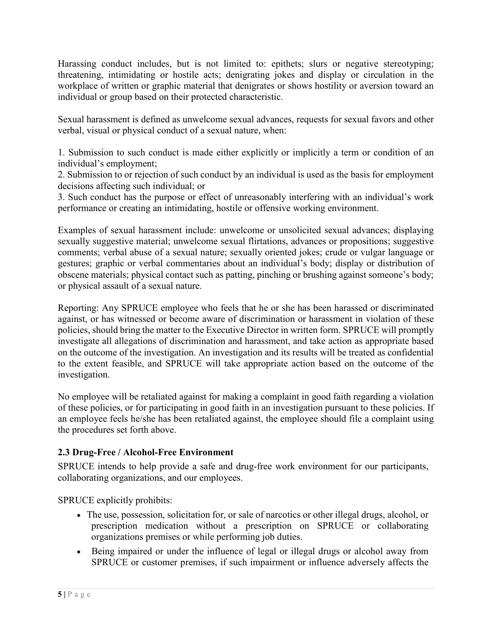Harassing conduct includes, but is not limited to: epithets; slurs or negative stereotyping; threatening, intimidating or hostile acts; denigrating jokes and display or circulation in the workplace of written or graphic material that denigrates or shows hostility or aversion toward an individual or group based on their protected characteristic.

Sexual harassment is defined as unwelcome sexual advances, requests for sexual favors and other verbal, visual or physical conduct of a sexual nature, when:

1. Submission to such conduct is made either explicitly or implicitly a term or condition of an individual's employment;

2. Submission to or rejection of such conduct by an individual is used as the basis for employment decisions affecting such individual; or

3. Such conduct has the purpose or effect of unreasonably interfering with an individual's work performance or creating an intimidating, hostile or offensive working environment.

Examples of sexual harassment include: unwelcome or unsolicited sexual advances; displaying sexually suggestive material; unwelcome sexual flirtations, advances or propositions; suggestive comments; verbal abuse of a sexual nature; sexually oriented jokes; crude or vulgar language or gestures; graphic or verbal commentaries about an individual's body; display or distribution of obscene materials; physical contact such as patting, pinching or brushing against someone's body; or physical assault of a sexual nature.

Reporting: Any SPRUCE employee who feels that he or she has been harassed or discriminated against, or has witnessed or become aware of discrimination or harassment in violation of these policies, should bring the matter to the Executive Director in written form. SPRUCE will promptly investigate all allegations of discrimination and harassment, and take action as appropriate based on the outcome of the investigation. An investigation and its results will be treated as confidential to the extent feasible, and SPRUCE will take appropriate action based on the outcome of the investigation.

No employee will be retaliated against for making a complaint in good faith regarding a violation of these policies, or for participating in good faith in an investigation pursuant to these policies. If an employee feels he/she has been retaliated against, the employee should file a complaint using the procedures set forth above.

# **2.3 Drug-Free / Alcohol-Free Environment**

SPRUCE intends to help provide a safe and drug-free work environment for our participants, collaborating organizations, and our employees.

SPRUCE explicitly prohibits:

- The use, possession, solicitation for, or sale of narcotics or other illegal drugs, alcohol, or prescription medication without a prescription on SPRUCE or collaborating organizations premises or while performing job duties.
- Being impaired or under the influence of legal or illegal drugs or alcohol away from SPRUCE or customer premises, if such impairment or influence adversely affects the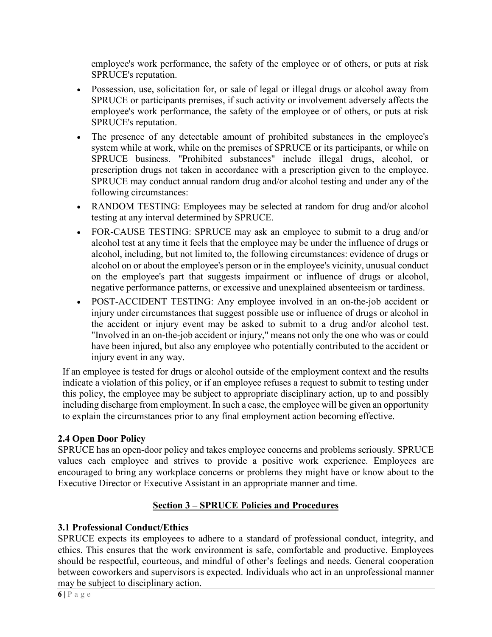employee's work performance, the safety of the employee or of others, or puts at risk SPRUCE's reputation.

- Possession, use, solicitation for, or sale of legal or illegal drugs or alcohol away from SPRUCE or participants premises, if such activity or involvement adversely affects the employee's work performance, the safety of the employee or of others, or puts at risk SPRUCE's reputation.
- The presence of any detectable amount of prohibited substances in the employee's system while at work, while on the premises of SPRUCE or its participants, or while on SPRUCE business. "Prohibited substances" include illegal drugs, alcohol, or prescription drugs not taken in accordance with a prescription given to the employee. SPRUCE may conduct annual random drug and/or alcohol testing and under any of the following circumstances:
- RANDOM TESTING: Employees may be selected at random for drug and/or alcohol testing at any interval determined by SPRUCE.
- FOR-CAUSE TESTING: SPRUCE may ask an employee to submit to a drug and/or alcohol test at any time it feels that the employee may be under the influence of drugs or alcohol, including, but not limited to, the following circumstances: evidence of drugs or alcohol on or about the employee's person or in the employee's vicinity, unusual conduct on the employee's part that suggests impairment or influence of drugs or alcohol, negative performance patterns, or excessive and unexplained absenteeism or tardiness.
- POST-ACCIDENT TESTING: Any employee involved in an on-the-job accident or injury under circumstances that suggest possible use or influence of drugs or alcohol in the accident or injury event may be asked to submit to a drug and/or alcohol test. "Involved in an on-the-job accident or injury," means not only the one who was or could have been injured, but also any employee who potentially contributed to the accident or injury event in any way.

If an employee is tested for drugs or alcohol outside of the employment context and the results indicate a violation of this policy, or if an employee refuses a request to submit to testing under this policy, the employee may be subject to appropriate disciplinary action, up to and possibly including discharge from employment. In such a case, the employee will be given an opportunity to explain the circumstances prior to any final employment action becoming effective.

# **2.4 Open Door Policy**

SPRUCE has an open-door policy and takes employee concerns and problems seriously. SPRUCE values each employee and strives to provide a positive work experience. Employees are encouraged to bring any workplace concerns or problems they might have or know about to the Executive Director or Executive Assistant in an appropriate manner and time.

# **Section 3 – SPRUCE Policies and Procedures**

# **3.1 Professional Conduct/Ethics**

SPRUCE expects its employees to adhere to a standard of professional conduct, integrity, and ethics. This ensures that the work environment is safe, comfortable and productive. Employees should be respectful, courteous, and mindful of other's feelings and needs. General cooperation between coworkers and supervisors is expected. Individuals who act in an unprofessional manner may be subject to disciplinary action.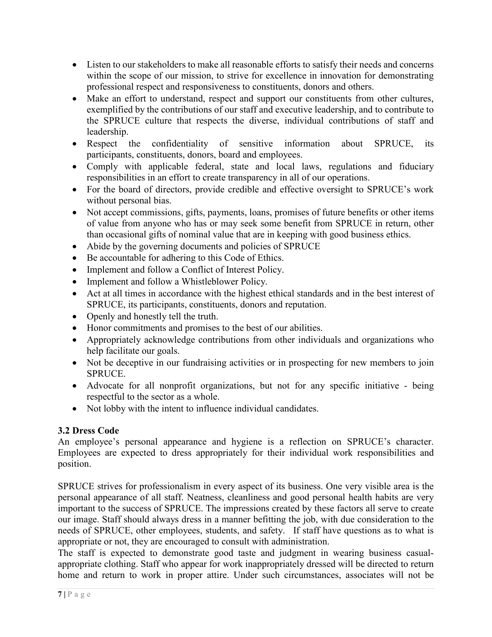- Listen to our stakeholders to make all reasonable efforts to satisfy their needs and concerns within the scope of our mission, to strive for excellence in innovation for demonstrating professional respect and responsiveness to constituents, donors and others.
- Make an effort to understand, respect and support our constituents from other cultures, exemplified by the contributions of our staff and executive leadership, and to contribute to the SPRUCE culture that respects the diverse, individual contributions of staff and leadership.
- Respect the confidentiality of sensitive information about SPRUCE, its participants, constituents, donors, board and employees.
- Comply with applicable federal, state and local laws, regulations and fiduciary responsibilities in an effort to create transparency in all of our operations.
- For the board of directors, provide credible and effective oversight to SPRUCE's work without personal bias.
- Not accept commissions, gifts, payments, loans, promises of future benefits or other items of value from anyone who has or may seek some benefit from SPRUCE in return, other than occasional gifts of nominal value that are in keeping with good business ethics.
- Abide by the governing documents and policies of SPRUCE
- Be accountable for adhering to this Code of Ethics.
- Implement and follow a Conflict of Interest Policy.
- Implement and follow a Whistleblower Policy.
- Act at all times in accordance with the highest ethical standards and in the best interest of SPRUCE, its participants, constituents, donors and reputation.
- Openly and honestly tell the truth.
- Honor commitments and promises to the best of our abilities.
- Appropriately acknowledge contributions from other individuals and organizations who help facilitate our goals.
- Not be deceptive in our fundraising activities or in prospecting for new members to join SPRUCE.
- Advocate for all nonprofit organizations, but not for any specific initiative being respectful to the sector as a whole.
- Not lobby with the intent to influence individual candidates.

# **3.2 Dress Code**

An employee's personal appearance and hygiene is a reflection on SPRUCE's character. Employees are expected to dress appropriately for their individual work responsibilities and position.

SPRUCE strives for professionalism in every aspect of its business. One very visible area is the personal appearance of all staff. Neatness, cleanliness and good personal health habits are very important to the success of SPRUCE. The impressions created by these factors all serve to create our image. Staff should always dress in a manner befitting the job, with due consideration to the needs of SPRUCE, other employees, students, and safety. If staff have questions as to what is appropriate or not, they are encouraged to consult with administration.

The staff is expected to demonstrate good taste and judgment in wearing business casualappropriate clothing. Staff who appear for work inappropriately dressed will be directed to return home and return to work in proper attire. Under such circumstances, associates will not be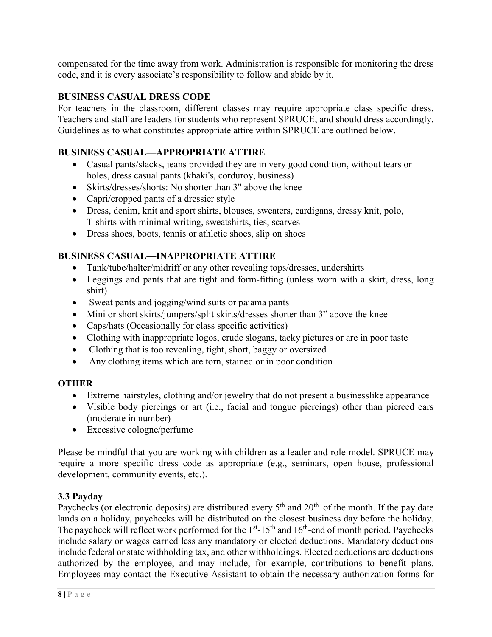compensated for the time away from work. Administration is responsible for monitoring the dress code, and it is every associate's responsibility to follow and abide by it.

#### **BUSINESS CASUAL DRESS CODE**

For teachers in the classroom, different classes may require appropriate class specific dress. Teachers and staff are leaders for students who represent SPRUCE, and should dress accordingly. Guidelines as to what constitutes appropriate attire within SPRUCE are outlined below.

#### **BUSINESS CASUAL—APPROPRIATE ATTIRE**

- Casual pants/slacks, jeans provided they are in very good condition, without tears or holes, dress casual pants (khaki's, corduroy, business)
- Skirts/dresses/shorts: No shorter than 3" above the knee
- Capri/cropped pants of a dressier style
- Dress, denim, knit and sport shirts, blouses, sweaters, cardigans, dressy knit, polo, T-shirts with minimal writing, sweatshirts, ties, scarves
- Dress shoes, boots, tennis or athletic shoes, slip on shoes

#### **BUSINESS CASUAL—INAPPROPRIATE ATTIRE**

- Tank/tube/halter/midriff or any other revealing tops/dresses, undershirts
- Leggings and pants that are tight and form-fitting (unless worn with a skirt, dress, long shirt)
- Sweat pants and jogging/wind suits or pajama pants
- Mini or short skirts/jumpers/split skirts/dresses shorter than 3" above the knee
- Caps/hats (Occasionally for class specific activities)
- Clothing with inappropriate logos, crude slogans, tacky pictures or are in poor taste
- Clothing that is too revealing, tight, short, baggy or oversized
- Any clothing items which are torn, stained or in poor condition

#### **OTHER**

- Extreme hairstyles, clothing and/or jewelry that do not present a businesslike appearance
- Visible body piercings or art (i.e., facial and tongue piercings) other than pierced ears (moderate in number)
- Excessive cologne/perfume

Please be mindful that you are working with children as a leader and role model. SPRUCE may require a more specific dress code as appropriate (e.g., seminars, open house, professional development, community events, etc.).

#### **3.3 Payday**

Paychecks (or electronic deposits) are distributed every 5<sup>th</sup> and 20<sup>th</sup> of the month. If the pay date lands on a holiday, paychecks will be distributed on the closest business day before the holiday. The paycheck will reflect work performed for the  $1<sup>st</sup>$ -15<sup>th</sup> and  $16<sup>th</sup>$ -end of month period. Paychecks include salary or wages earned less any mandatory or elected deductions. Mandatory deductions include federal or state withholding tax, and other withholdings. Elected deductions are deductions authorized by the employee, and may include, for example, contributions to benefit plans. Employees may contact the Executive Assistant to obtain the necessary authorization forms for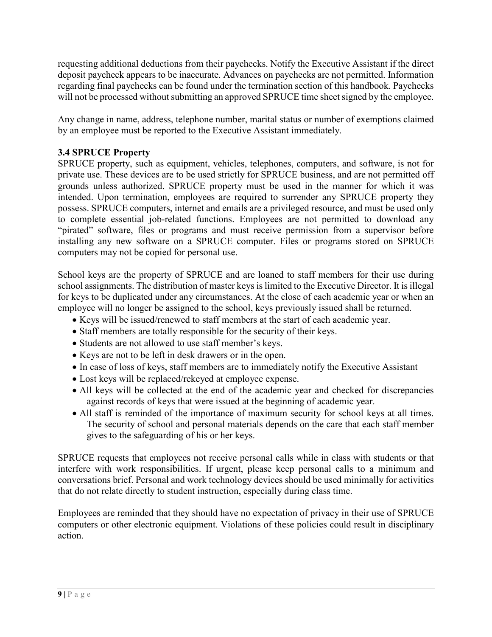requesting additional deductions from their paychecks. Notify the Executive Assistant if the direct deposit paycheck appears to be inaccurate. Advances on paychecks are not permitted. Information regarding final paychecks can be found under the termination section of this handbook. Paychecks will not be processed without submitting an approved SPRUCE time sheet signed by the employee.

Any change in name, address, telephone number, marital status or number of exemptions claimed by an employee must be reported to the Executive Assistant immediately.

# **3.4 SPRUCE Property**

SPRUCE property, such as equipment, vehicles, telephones, computers, and software, is not for private use. These devices are to be used strictly for SPRUCE business, and are not permitted off grounds unless authorized. SPRUCE property must be used in the manner for which it was intended. Upon termination, employees are required to surrender any SPRUCE property they possess. SPRUCE computers, internet and emails are a privileged resource, and must be used only to complete essential job-related functions. Employees are not permitted to download any "pirated" software, files or programs and must receive permission from a supervisor before installing any new software on a SPRUCE computer. Files or programs stored on SPRUCE computers may not be copied for personal use.

School keys are the property of SPRUCE and are loaned to staff members for their use during school assignments. The distribution of master keys is limited to the Executive Director. It is illegal for keys to be duplicated under any circumstances. At the close of each academic year or when an employee will no longer be assigned to the school, keys previously issued shall be returned.

- Keys will be issued/renewed to staff members at the start of each academic year.
- Staff members are totally responsible for the security of their keys.
- Students are not allowed to use staff member's keys.
- Keys are not to be left in desk drawers or in the open.
- In case of loss of keys, staff members are to immediately notify the Executive Assistant
- Lost keys will be replaced/rekeyed at employee expense.
- All keys will be collected at the end of the academic year and checked for discrepancies against records of keys that were issued at the beginning of academic year.
- All staff is reminded of the importance of maximum security for school keys at all times. The security of school and personal materials depends on the care that each staff member gives to the safeguarding of his or her keys.

SPRUCE requests that employees not receive personal calls while in class with students or that interfere with work responsibilities. If urgent, please keep personal calls to a minimum and conversations brief. Personal and work technology devices should be used minimally for activities that do not relate directly to student instruction, especially during class time.

Employees are reminded that they should have no expectation of privacy in their use of SPRUCE computers or other electronic equipment. Violations of these policies could result in disciplinary action.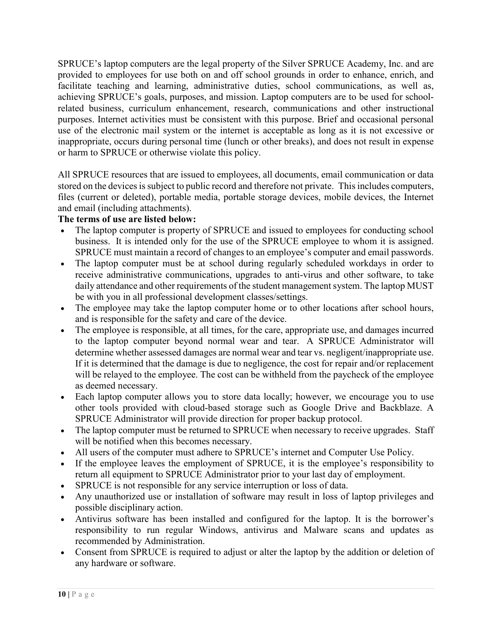SPRUCE's laptop computers are the legal property of the Silver SPRUCE Academy, Inc. and are provided to employees for use both on and off school grounds in order to enhance, enrich, and facilitate teaching and learning, administrative duties, school communications, as well as, achieving SPRUCE's goals, purposes, and mission. Laptop computers are to be used for schoolrelated business, curriculum enhancement, research, communications and other instructional purposes. Internet activities must be consistent with this purpose. Brief and occasional personal use of the electronic mail system or the internet is acceptable as long as it is not excessive or inappropriate, occurs during personal time (lunch or other breaks), and does not result in expense or harm to SPRUCE or otherwise violate this policy.

All SPRUCE resources that are issued to employees, all documents, email communication or data stored on the devices is subject to public record and therefore not private. This includes computers, files (current or deleted), portable media, portable storage devices, mobile devices, the Internet and email (including attachments).

# **The terms of use are listed below:**

- The laptop computer is property of SPRUCE and issued to employees for conducting school business. It is intended only for the use of the SPRUCE employee to whom it is assigned. SPRUCE must maintain a record of changes to an employee's computer and email passwords.
- The laptop computer must be at school during regularly scheduled workdays in order to receive administrative communications, upgrades to anti-virus and other software, to take daily attendance and other requirements of the student management system. The laptop MUST be with you in all professional development classes/settings.
- The employee may take the laptop computer home or to other locations after school hours, and is responsible for the safety and care of the device.
- The employee is responsible, at all times, for the care, appropriate use, and damages incurred to the laptop computer beyond normal wear and tear. A SPRUCE Administrator will determine whether assessed damages are normal wear and tear vs. negligent/inappropriate use. If it is determined that the damage is due to negligence, the cost for repair and/or replacement will be relayed to the employee. The cost can be withheld from the paycheck of the employee as deemed necessary.
- Each laptop computer allows you to store data locally; however, we encourage you to use other tools provided with cloud-based storage such as Google Drive and Backblaze. A SPRUCE Administrator will provide direction for proper backup protocol.
- The laptop computer must be returned to SPRUCE when necessary to receive upgrades. Staff will be notified when this becomes necessary.
- All users of the computer must adhere to SPRUCE's internet and Computer Use Policy.
- If the employee leaves the employment of SPRUCE, it is the employee's responsibility to return all equipment to SPRUCE Administrator prior to your last day of employment.
- SPRUCE is not responsible for any service interruption or loss of data.
- Any unauthorized use or installation of software may result in loss of laptop privileges and possible disciplinary action.
- Antivirus software has been installed and configured for the laptop. It is the borrower's responsibility to run regular Windows, antivirus and Malware scans and updates as recommended by Administration.
- Consent from SPRUCE is required to adjust or alter the laptop by the addition or deletion of any hardware or software.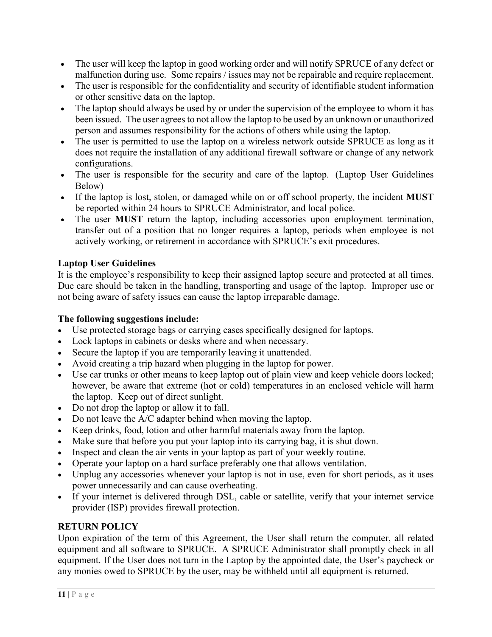- The user will keep the laptop in good working order and will notify SPRUCE of any defect or malfunction during use. Some repairs / issues may not be repairable and require replacement.
- The user is responsible for the confidentiality and security of identifiable student information or other sensitive data on the laptop.
- The laptop should always be used by or under the supervision of the employee to whom it has been issued. The user agrees to not allow the laptop to be used by an unknown or unauthorized person and assumes responsibility for the actions of others while using the laptop.
- The user is permitted to use the laptop on a wireless network outside SPRUCE as long as it does not require the installation of any additional firewall software or change of any network configurations.
- The user is responsible for the security and care of the laptop. (Laptop User Guidelines Below)
- If the laptop is lost, stolen, or damaged while on or off school property, the incident **MUST** be reported within 24 hours to SPRUCE Administrator, and local police.
- The user **MUST** return the laptop, including accessories upon employment termination, transfer out of a position that no longer requires a laptop, periods when employee is not actively working, or retirement in accordance with SPRUCE's exit procedures.

# **Laptop User Guidelines**

It is the employee's responsibility to keep their assigned laptop secure and protected at all times. Due care should be taken in the handling, transporting and usage of the laptop. Improper use or not being aware of safety issues can cause the laptop irreparable damage.

#### **The following suggestions include:**

- Use protected storage bags or carrying cases specifically designed for laptops.
- Lock laptops in cabinets or desks where and when necessary.
- Secure the laptop if you are temporarily leaving it unattended.
- Avoid creating a trip hazard when plugging in the laptop for power.
- Use car trunks or other means to keep laptop out of plain view and keep vehicle doors locked; however, be aware that extreme (hot or cold) temperatures in an enclosed vehicle will harm the laptop. Keep out of direct sunlight.
- Do not drop the laptop or allow it to fall.
- Do not leave the A/C adapter behind when moving the laptop.
- Keep drinks, food, lotion and other harmful materials away from the laptop.
- Make sure that before you put your laptop into its carrying bag, it is shut down.
- Inspect and clean the air vents in your laptop as part of your weekly routine.
- Operate your laptop on a hard surface preferably one that allows ventilation.
- Unplug any accessories whenever your laptop is not in use, even for short periods, as it uses power unnecessarily and can cause overheating.
- If your internet is delivered through DSL, cable or satellite, verify that your internet service provider (ISP) provides firewall protection.

# **RETURN POLICY**

Upon expiration of the term of this Agreement, the User shall return the computer, all related equipment and all software to SPRUCE. A SPRUCE Administrator shall promptly check in all equipment. If the User does not turn in the Laptop by the appointed date, the User's paycheck or any monies owed to SPRUCE by the user, may be withheld until all equipment is returned.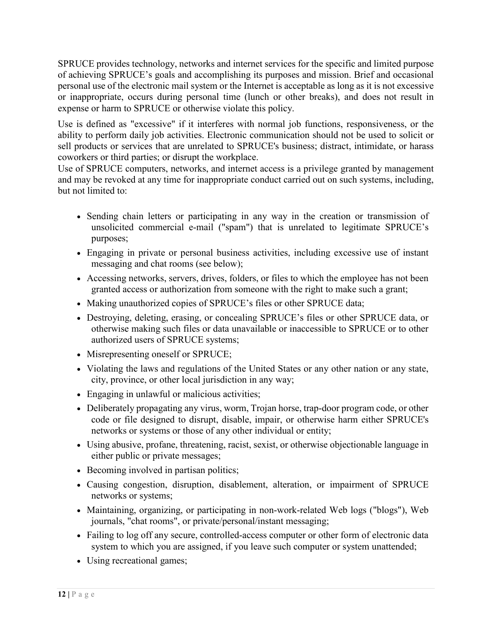SPRUCE provides technology, networks and internet services for the specific and limited purpose of achieving SPRUCE's goals and accomplishing its purposes and mission. Brief and occasional personal use of the electronic mail system or the Internet is acceptable as long as it is not excessive or inappropriate, occurs during personal time (lunch or other breaks), and does not result in expense or harm to SPRUCE or otherwise violate this policy.

Use is defined as "excessive" if it interferes with normal job functions, responsiveness, or the ability to perform daily job activities. Electronic communication should not be used to solicit or sell products or services that are unrelated to SPRUCE's business; distract, intimidate, or harass coworkers or third parties; or disrupt the workplace.

Use of SPRUCE computers, networks, and internet access is a privilege granted by management and may be revoked at any time for inappropriate conduct carried out on such systems, including, but not limited to:

- Sending chain letters or participating in any way in the creation or transmission of unsolicited commercial e-mail ("spam") that is unrelated to legitimate SPRUCE's purposes;
- Engaging in private or personal business activities, including excessive use of instant messaging and chat rooms (see below);
- Accessing networks, servers, drives, folders, or files to which the employee has not been granted access or authorization from someone with the right to make such a grant;
- Making unauthorized copies of SPRUCE's files or other SPRUCE data;
- Destroying, deleting, erasing, or concealing SPRUCE's files or other SPRUCE data, or otherwise making such files or data unavailable or inaccessible to SPRUCE or to other authorized users of SPRUCE systems;
- Misrepresenting oneself or SPRUCE;
- Violating the laws and regulations of the United States or any other nation or any state, city, province, or other local jurisdiction in any way;
- Engaging in unlawful or malicious activities;
- Deliberately propagating any virus, worm, Trojan horse, trap-door program code, or other code or file designed to disrupt, disable, impair, or otherwise harm either SPRUCE's networks or systems or those of any other individual or entity;
- Using abusive, profane, threatening, racist, sexist, or otherwise objectionable language in either public or private messages;
- Becoming involved in partisan politics;
- Causing congestion, disruption, disablement, alteration, or impairment of SPRUCE networks or systems;
- Maintaining, organizing, or participating in non-work-related Web logs ("blogs"), Web journals, "chat rooms", or private/personal/instant messaging;
- Failing to log off any secure, controlled-access computer or other form of electronic data system to which you are assigned, if you leave such computer or system unattended;
- Using recreational games;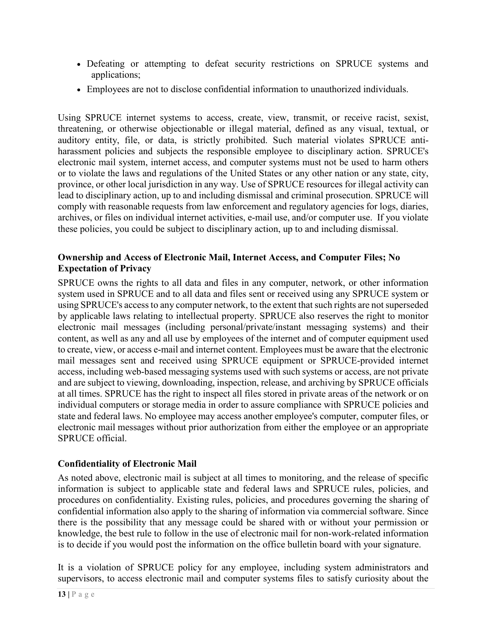- Defeating or attempting to defeat security restrictions on SPRUCE systems and applications;
- Employees are not to disclose confidential information to unauthorized individuals.

Using SPRUCE internet systems to access, create, view, transmit, or receive racist, sexist, threatening, or otherwise objectionable or illegal material, defined as any visual, textual, or auditory entity, file, or data, is strictly prohibited. Such material violates SPRUCE antiharassment policies and subjects the responsible employee to disciplinary action. SPRUCE's electronic mail system, internet access, and computer systems must not be used to harm others or to violate the laws and regulations of the United States or any other nation or any state, city, province, or other local jurisdiction in any way. Use of SPRUCE resources for illegal activity can lead to disciplinary action, up to and including dismissal and criminal prosecution. SPRUCE will comply with reasonable requests from law enforcement and regulatory agencies for logs, diaries, archives, or files on individual internet activities, e-mail use, and/or computer use. If you violate these policies, you could be subject to disciplinary action, up to and including dismissal.

# **Ownership and Access of Electronic Mail, Internet Access, and Computer Files; No Expectation of Privacy**

SPRUCE owns the rights to all data and files in any computer, network, or other information system used in SPRUCE and to all data and files sent or received using any SPRUCE system or using SPRUCE's access to any computer network, to the extent that such rights are not superseded by applicable laws relating to intellectual property. SPRUCE also reserves the right to monitor electronic mail messages (including personal/private/instant messaging systems) and their content, as well as any and all use by employees of the internet and of computer equipment used to create, view, or access e-mail and internet content. Employees must be aware that the electronic mail messages sent and received using SPRUCE equipment or SPRUCE-provided internet access, including web-based messaging systems used with such systems or access, are not private and are subject to viewing, downloading, inspection, release, and archiving by SPRUCE officials at all times. SPRUCE has the right to inspect all files stored in private areas of the network or on individual computers or storage media in order to assure compliance with SPRUCE policies and state and federal laws. No employee may access another employee's computer, computer files, or electronic mail messages without prior authorization from either the employee or an appropriate SPRUCE official.

# **Confidentiality of Electronic Mail**

As noted above, electronic mail is subject at all times to monitoring, and the release of specific information is subject to applicable state and federal laws and SPRUCE rules, policies, and procedures on confidentiality. Existing rules, policies, and procedures governing the sharing of confidential information also apply to the sharing of information via commercial software. Since there is the possibility that any message could be shared with or without your permission or knowledge, the best rule to follow in the use of electronic mail for non-work-related information is to decide if you would post the information on the office bulletin board with your signature.

It is a violation of SPRUCE policy for any employee, including system administrators and supervisors, to access electronic mail and computer systems files to satisfy curiosity about the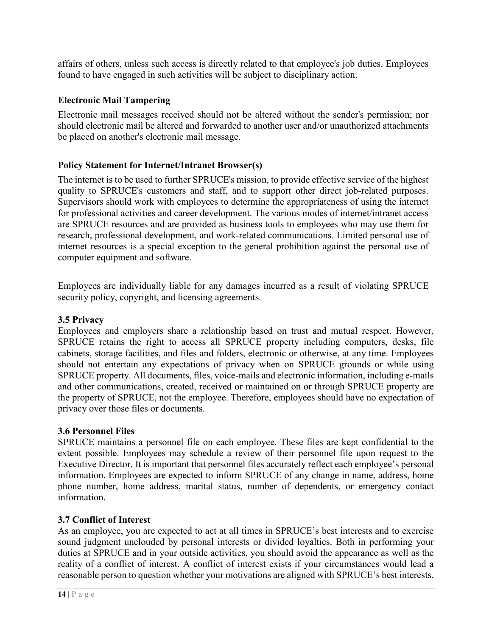affairs of others, unless such access is directly related to that employee's job duties. Employees found to have engaged in such activities will be subject to disciplinary action.

# **Electronic Mail Tampering**

Electronic mail messages received should not be altered without the sender's permission; nor should electronic mail be altered and forwarded to another user and/or unauthorized attachments be placed on another's electronic mail message.

# **Policy Statement for Internet/Intranet Browser(s)**

The internet is to be used to further SPRUCE's mission, to provide effective service of the highest quality to SPRUCE's customers and staff, and to support other direct job-related purposes. Supervisors should work with employees to determine the appropriateness of using the internet for professional activities and career development. The various modes of internet/intranet access are SPRUCE resources and are provided as business tools to employees who may use them for research, professional development, and work-related communications. Limited personal use of internet resources is a special exception to the general prohibition against the personal use of computer equipment and software.

Employees are individually liable for any damages incurred as a result of violating SPRUCE security policy, copyright, and licensing agreements.

# **3.5 Privacy**

Employees and employers share a relationship based on trust and mutual respect. However, SPRUCE retains the right to access all SPRUCE property including computers, desks, file cabinets, storage facilities, and files and folders, electronic or otherwise, at any time. Employees should not entertain any expectations of privacy when on SPRUCE grounds or while using SPRUCE property. All documents, files, voice-mails and electronic information, including e-mails and other communications, created, received or maintained on or through SPRUCE property are the property of SPRUCE, not the employee. Therefore, employees should have no expectation of privacy over those files or documents.

# **3.6 Personnel Files**

SPRUCE maintains a personnel file on each employee. These files are kept confidential to the extent possible. Employees may schedule a review of their personnel file upon request to the Executive Director. It is important that personnel files accurately reflect each employee's personal information. Employees are expected to inform SPRUCE of any change in name, address, home phone number, home address, marital status, number of dependents, or emergency contact information.

# **3.7 Conflict of Interest**

As an employee, you are expected to act at all times in SPRUCE's best interests and to exercise sound judgment unclouded by personal interests or divided loyalties. Both in performing your duties at SPRUCE and in your outside activities, you should avoid the appearance as well as the reality of a conflict of interest. A conflict of interest exists if your circumstances would lead a reasonable person to question whether your motivations are aligned with SPRUCE's best interests.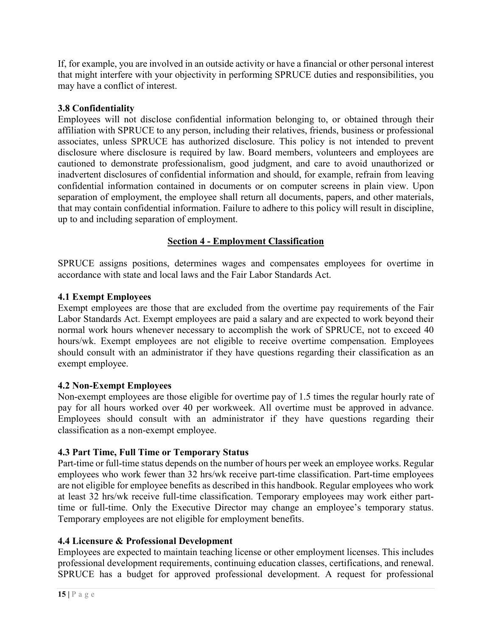If, for example, you are involved in an outside activity or have a financial or other personal interest that might interfere with your objectivity in performing SPRUCE duties and responsibilities, you may have a conflict of interest.

# **3.8 Confidentiality**

Employees will not disclose confidential information belonging to, or obtained through their affiliation with SPRUCE to any person, including their relatives, friends, business or professional associates, unless SPRUCE has authorized disclosure. This policy is not intended to prevent disclosure where disclosure is required by law. Board members, volunteers and employees are cautioned to demonstrate professionalism, good judgment, and care to avoid unauthorized or inadvertent disclosures of confidential information and should, for example, refrain from leaving confidential information contained in documents or on computer screens in plain view. Upon separation of employment, the employee shall return all documents, papers, and other materials, that may contain confidential information. Failure to adhere to this policy will result in discipline, up to and including separation of employment.

# **Section 4 - Employment Classification**

SPRUCE assigns positions, determines wages and compensates employees for overtime in accordance with state and local laws and the Fair Labor Standards Act.

# **4.1 Exempt Employees**

Exempt employees are those that are excluded from the overtime pay requirements of the Fair Labor Standards Act. Exempt employees are paid a salary and are expected to work beyond their normal work hours whenever necessary to accomplish the work of SPRUCE, not to exceed 40 hours/wk. Exempt employees are not eligible to receive overtime compensation. Employees should consult with an administrator if they have questions regarding their classification as an exempt employee.

# **4.2 Non-Exempt Employees**

Non-exempt employees are those eligible for overtime pay of 1.5 times the regular hourly rate of pay for all hours worked over 40 per workweek. All overtime must be approved in advance. Employees should consult with an administrator if they have questions regarding their classification as a non-exempt employee.

# **4.3 Part Time, Full Time or Temporary Status**

Part-time or full-time status depends on the number of hours per week an employee works. Regular employees who work fewer than 32 hrs/wk receive part-time classification. Part-time employees are not eligible for employee benefits as described in this handbook. Regular employees who work at least 32 hrs/wk receive full-time classification. Temporary employees may work either parttime or full-time. Only the Executive Director may change an employee's temporary status. Temporary employees are not eligible for employment benefits.

# **4.4 Licensure & Professional Development**

Employees are expected to maintain teaching license or other employment licenses. This includes professional development requirements, continuing education classes, certifications, and renewal. SPRUCE has a budget for approved professional development. A request for professional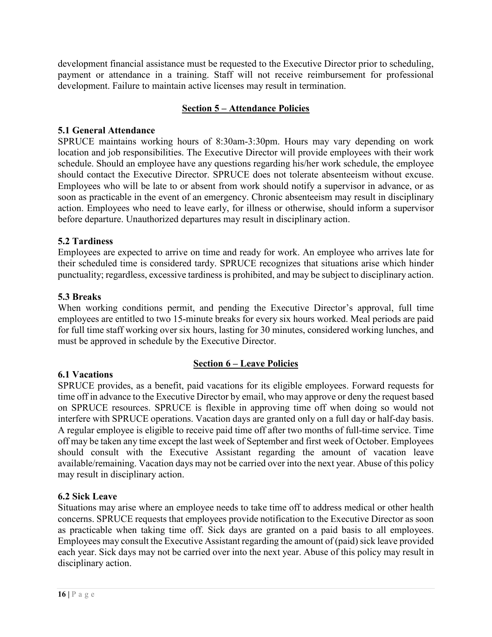development financial assistance must be requested to the Executive Director prior to scheduling, payment or attendance in a training. Staff will not receive reimbursement for professional development. Failure to maintain active licenses may result in termination.

# **Section 5 – Attendance Policies**

#### **5.1 General Attendance**

SPRUCE maintains working hours of 8:30am-3:30pm. Hours may vary depending on work location and job responsibilities. The Executive Director will provide employees with their work schedule. Should an employee have any questions regarding his/her work schedule, the employee should contact the Executive Director. SPRUCE does not tolerate absenteeism without excuse. Employees who will be late to or absent from work should notify a supervisor in advance, or as soon as practicable in the event of an emergency. Chronic absenteeism may result in disciplinary action. Employees who need to leave early, for illness or otherwise, should inform a supervisor before departure. Unauthorized departures may result in disciplinary action.

#### **5.2 Tardiness**

Employees are expected to arrive on time and ready for work. An employee who arrives late for their scheduled time is considered tardy. SPRUCE recognizes that situations arise which hinder punctuality; regardless, excessive tardiness is prohibited, and may be subject to disciplinary action.

#### **5.3 Breaks**

When working conditions permit, and pending the Executive Director's approval, full time employees are entitled to two 15-minute breaks for every six hours worked. Meal periods are paid for full time staff working over six hours, lasting for 30 minutes, considered working lunches, and must be approved in schedule by the Executive Director.

#### **Section 6 – Leave Policies**

#### **6.1 Vacations**

SPRUCE provides, as a benefit, paid vacations for its eligible employees. Forward requests for time off in advance to the Executive Director by email, who may approve or deny the request based on SPRUCE resources. SPRUCE is flexible in approving time off when doing so would not interfere with SPRUCE operations. Vacation days are granted only on a full day or half-day basis. A regular employee is eligible to receive paid time off after two months of full-time service. Time off may be taken any time except the last week of September and first week of October. Employees should consult with the Executive Assistant regarding the amount of vacation leave available/remaining. Vacation days may not be carried over into the next year. Abuse of this policy may result in disciplinary action.

#### **6.2 Sick Leave**

Situations may arise where an employee needs to take time off to address medical or other health concerns. SPRUCE requests that employees provide notification to the Executive Director as soon as practicable when taking time off. Sick days are granted on a paid basis to all employees. Employees may consult the Executive Assistant regarding the amount of (paid) sick leave provided each year. Sick days may not be carried over into the next year. Abuse of this policy may result in disciplinary action.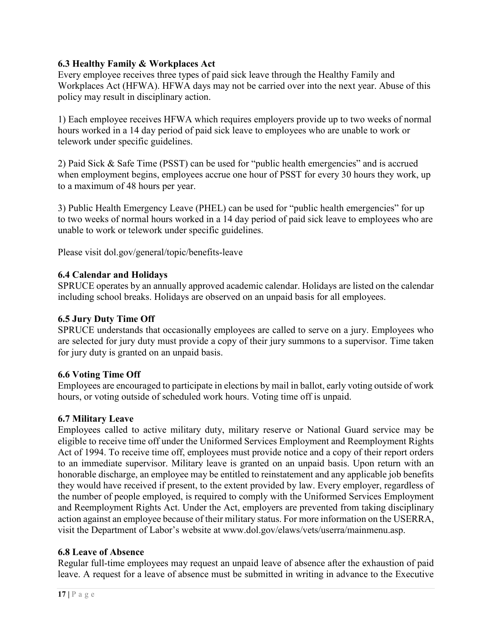# **6.3 Healthy Family & Workplaces Act**

Every employee receives three types of paid sick leave through the Healthy Family and Workplaces Act (HFWA). HFWA days may not be carried over into the next year. Abuse of this policy may result in disciplinary action.

1) Each employee receives HFWA which requires employers provide up to two weeks of normal hours worked in a 14 day period of paid sick leave to employees who are unable to work or telework under specific guidelines.

2) Paid Sick & Safe Time (PSST) can be used for "public health emergencies" and is accrued when employment begins, employees accrue one hour of PSST for every 30 hours they work, up to a maximum of 48 hours per year.

3) Public Health Emergency Leave (PHEL) can be used for "public health emergencies" for up to two weeks of normal hours worked in a 14 day period of paid sick leave to employees who are unable to work or telework under specific guidelines.

Please visit dol.gov/general/topic/benefits-leave

# **6.4 Calendar and Holidays**

SPRUCE operates by an annually approved academic calendar. Holidays are listed on the calendar including school breaks. Holidays are observed on an unpaid basis for all employees.

#### **6.5 Jury Duty Time Off**

SPRUCE understands that occasionally employees are called to serve on a jury. Employees who are selected for jury duty must provide a copy of their jury summons to a supervisor. Time taken for jury duty is granted on an unpaid basis.

#### **6.6 Voting Time Off**

Employees are encouraged to participate in elections by mail in ballot, early voting outside of work hours, or voting outside of scheduled work hours. Voting time off is unpaid.

#### **6.7 Military Leave**

Employees called to active military duty, military reserve or National Guard service may be eligible to receive time off under the Uniformed Services Employment and Reemployment Rights Act of 1994. To receive time off, employees must provide notice and a copy of their report orders to an immediate supervisor. Military leave is granted on an unpaid basis. Upon return with an honorable discharge, an employee may be entitled to reinstatement and any applicable job benefits they would have received if present, to the extent provided by law. Every employer, regardless of the number of people employed, is required to comply with the Uniformed Services Employment and Reemployment Rights Act. Under the Act, employers are prevented from taking disciplinary action against an employee because of their military status. For more information on the USERRA, visit the Department of Labor's website at www.dol.gov/elaws/vets/userra/mainmenu.asp.

#### **6.8 Leave of Absence**

Regular full-time employees may request an unpaid leave of absence after the exhaustion of paid leave. A request for a leave of absence must be submitted in writing in advance to the Executive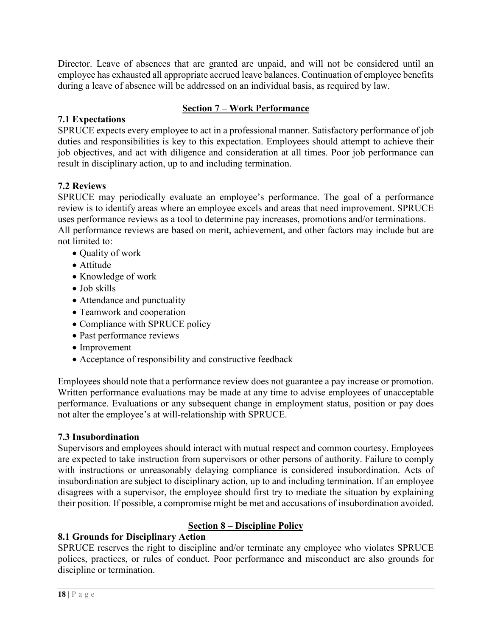Director. Leave of absences that are granted are unpaid, and will not be considered until an employee has exhausted all appropriate accrued leave balances. Continuation of employee benefits during a leave of absence will be addressed on an individual basis, as required by law.

# **Section 7 – Work Performance**

# **7.1 Expectations**

SPRUCE expects every employee to act in a professional manner. Satisfactory performance of job duties and responsibilities is key to this expectation. Employees should attempt to achieve their job objectives, and act with diligence and consideration at all times. Poor job performance can result in disciplinary action, up to and including termination.

# **7.2 Reviews**

SPRUCE may periodically evaluate an employee's performance. The goal of a performance review is to identify areas where an employee excels and areas that need improvement. SPRUCE uses performance reviews as a tool to determine pay increases, promotions and/or terminations. All performance reviews are based on merit, achievement, and other factors may include but are

not limited to:

- Quality of work
- Attitude
- Knowledge of work
- Job skills
- Attendance and punctuality
- Teamwork and cooperation
- Compliance with SPRUCE policy
- Past performance reviews
- Improvement
- Acceptance of responsibility and constructive feedback

Employees should note that a performance review does not guarantee a pay increase or promotion. Written performance evaluations may be made at any time to advise employees of unacceptable performance. Evaluations or any subsequent change in employment status, position or pay does not alter the employee's at will-relationship with SPRUCE.

#### **7.3 Insubordination**

Supervisors and employees should interact with mutual respect and common courtesy. Employees are expected to take instruction from supervisors or other persons of authority. Failure to comply with instructions or unreasonably delaying compliance is considered insubordination. Acts of insubordination are subject to disciplinary action, up to and including termination. If an employee disagrees with a supervisor, the employee should first try to mediate the situation by explaining their position. If possible, a compromise might be met and accusations of insubordination avoided.

# **Section 8 – Discipline Policy**

**8.1 Grounds for Disciplinary Action**  SPRUCE reserves the right to discipline and/or terminate any employee who violates SPRUCE polices, practices, or rules of conduct. Poor performance and misconduct are also grounds for discipline or termination.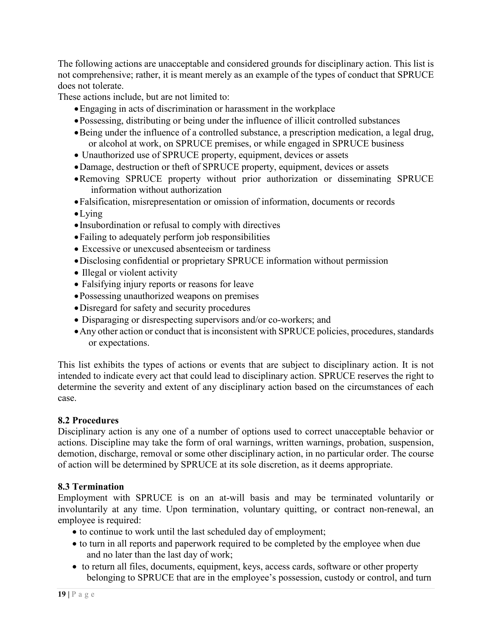The following actions are unacceptable and considered grounds for disciplinary action. This list is not comprehensive; rather, it is meant merely as an example of the types of conduct that SPRUCE does not tolerate.

These actions include, but are not limited to:

- •Engaging in acts of discrimination or harassment in the workplace
- •Possessing, distributing or being under the influence of illicit controlled substances
- •Being under the influence of a controlled substance, a prescription medication, a legal drug, or alcohol at work, on SPRUCE premises, or while engaged in SPRUCE business
- Unauthorized use of SPRUCE property, equipment, devices or assets
- •Damage, destruction or theft of SPRUCE property, equipment, devices or assets
- •Removing SPRUCE property without prior authorization or disseminating SPRUCE information without authorization
- •Falsification, misrepresentation or omission of information, documents or records
- •Lying
- •Insubordination or refusal to comply with directives
- •Failing to adequately perform job responsibilities
- Excessive or unexcused absenteeism or tardiness
- •Disclosing confidential or proprietary SPRUCE information without permission
- Illegal or violent activity
- Falsifying injury reports or reasons for leave
- •Possessing unauthorized weapons on premises
- •Disregard for safety and security procedures
- Disparaging or disrespecting supervisors and/or co-workers; and
- •Any other action or conduct that is inconsistent with SPRUCE policies, procedures, standards or expectations.

This list exhibits the types of actions or events that are subject to disciplinary action. It is not intended to indicate every act that could lead to disciplinary action. SPRUCE reserves the right to determine the severity and extent of any disciplinary action based on the circumstances of each case.

#### **8.2 Procedures**

Disciplinary action is any one of a number of options used to correct unacceptable behavior or actions. Discipline may take the form of oral warnings, written warnings, probation, suspension, demotion, discharge, removal or some other disciplinary action, in no particular order. The course of action will be determined by SPRUCE at its sole discretion, as it deems appropriate.

# **8.3 Termination**

Employment with SPRUCE is on an at-will basis and may be terminated voluntarily or involuntarily at any time. Upon termination, voluntary quitting, or contract non-renewal, an employee is required:

- to continue to work until the last scheduled day of employment;
- to turn in all reports and paperwork required to be completed by the employee when due and no later than the last day of work;
- to return all files, documents, equipment, keys, access cards, software or other property belonging to SPRUCE that are in the employee's possession, custody or control, and turn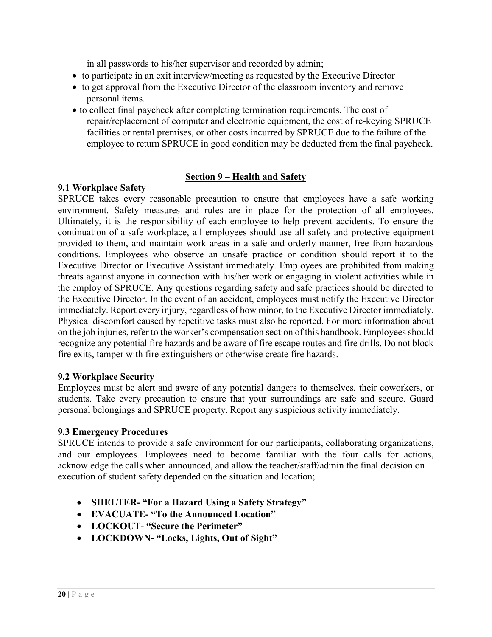in all passwords to his/her supervisor and recorded by admin;

- to participate in an exit interview/meeting as requested by the Executive Director
- to get approval from the Executive Director of the classroom inventory and remove personal items.
- to collect final paycheck after completing termination requirements. The cost of repair/replacement of computer and electronic equipment, the cost of re-keying SPRUCE facilities or rental premises, or other costs incurred by SPRUCE due to the failure of the employee to return SPRUCE in good condition may be deducted from the final paycheck.

#### **Section 9 – Health and Safety**

#### **9.1 Workplace Safety**

SPRUCE takes every reasonable precaution to ensure that employees have a safe working environment. Safety measures and rules are in place for the protection of all employees. Ultimately, it is the responsibility of each employee to help prevent accidents. To ensure the continuation of a safe workplace, all employees should use all safety and protective equipment provided to them, and maintain work areas in a safe and orderly manner, free from hazardous conditions. Employees who observe an unsafe practice or condition should report it to the Executive Director or Executive Assistant immediately. Employees are prohibited from making threats against anyone in connection with his/her work or engaging in violent activities while in the employ of SPRUCE. Any questions regarding safety and safe practices should be directed to the Executive Director. In the event of an accident, employees must notify the Executive Director immediately. Report every injury, regardless of how minor, to the Executive Director immediately. Physical discomfort caused by repetitive tasks must also be reported. For more information about on the job injuries, refer to the worker's compensation section of this handbook. Employees should recognize any potential fire hazards and be aware of fire escape routes and fire drills. Do not block fire exits, tamper with fire extinguishers or otherwise create fire hazards.

#### **9.2 Workplace Security**

Employees must be alert and aware of any potential dangers to themselves, their coworkers, or students. Take every precaution to ensure that your surroundings are safe and secure. Guard personal belongings and SPRUCE property. Report any suspicious activity immediately.

#### **9.3 Emergency Procedures**

SPRUCE intends to provide a safe environment for our participants, collaborating organizations, and our employees. Employees need to become familiar with the four calls for actions, acknowledge the calls when announced, and allow the teacher/staff/admin the final decision on execution of student safety depended on the situation and location;

- **SHELTER- "For a Hazard Using a Safety Strategy"**
- **EVACUATE- "To the Announced Location"**
- **LOCKOUT- "Secure the Perimeter"**
- **LOCKDOWN- "Locks, Lights, Out of Sight"**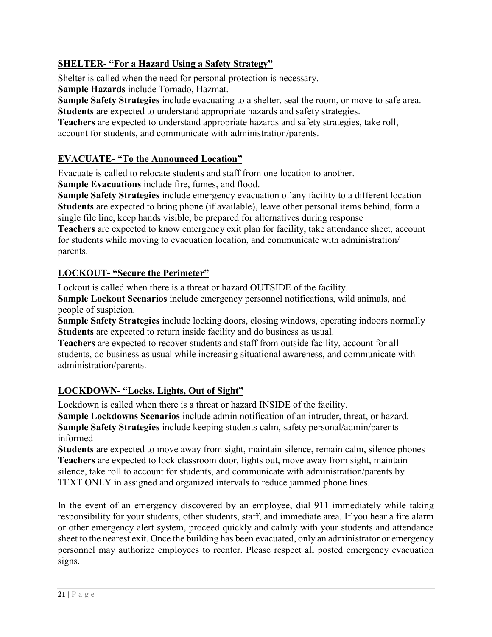# **SHELTER- "For a Hazard Using a Safety Strategy"**

Shelter is called when the need for personal protection is necessary. **Sample Hazards** include Tornado, Hazmat.

**Sample Safety Strategies** include evacuating to a shelter, seal the room, or move to safe area. **Students** are expected to understand appropriate hazards and safety strategies.

**Teachers** are expected to understand appropriate hazards and safety strategies, take roll, account for students, and communicate with administration/parents.

# **EVACUATE- "To the Announced Location"**

Evacuate is called to relocate students and staff from one location to another.

**Sample Evacuations** include fire, fumes, and flood.

**Sample Safety Strategies** include emergency evacuation of any facility to a different location **Students** are expected to bring phone (if available), leave other personal items behind, form a single file line, keep hands visible, be prepared for alternatives during response

**Teachers** are expected to know emergency exit plan for facility, take attendance sheet, account for students while moving to evacuation location, and communicate with administration/ parents.

# **LOCKOUT- "Secure the Perimeter"**

Lockout is called when there is a threat or hazard OUTSIDE of the facility.

**Sample Lockout Scenarios** include emergency personnel notifications, wild animals, and people of suspicion.

**Sample Safety Strategies** include locking doors, closing windows, operating indoors normally **Students** are expected to return inside facility and do business as usual.

**Teachers** are expected to recover students and staff from outside facility, account for all students, do business as usual while increasing situational awareness, and communicate with administration/parents.

# **LOCKDOWN- "Locks, Lights, Out of Sight"**

Lockdown is called when there is a threat or hazard INSIDE of the facility.

**Sample Lockdowns Scenarios** include admin notification of an intruder, threat, or hazard. **Sample Safety Strategies** include keeping students calm, safety personal/admin/parents informed

**Students** are expected to move away from sight, maintain silence, remain calm, silence phones **Teachers** are expected to lock classroom door, lights out, move away from sight, maintain silence, take roll to account for students, and communicate with administration/parents by TEXT ONLY in assigned and organized intervals to reduce jammed phone lines.

In the event of an emergency discovered by an employee, dial 911 immediately while taking responsibility for your students, other students, staff, and immediate area. If you hear a fire alarm or other emergency alert system, proceed quickly and calmly with your students and attendance sheet to the nearest exit. Once the building has been evacuated, only an administrator or emergency personnel may authorize employees to reenter. Please respect all posted emergency evacuation signs.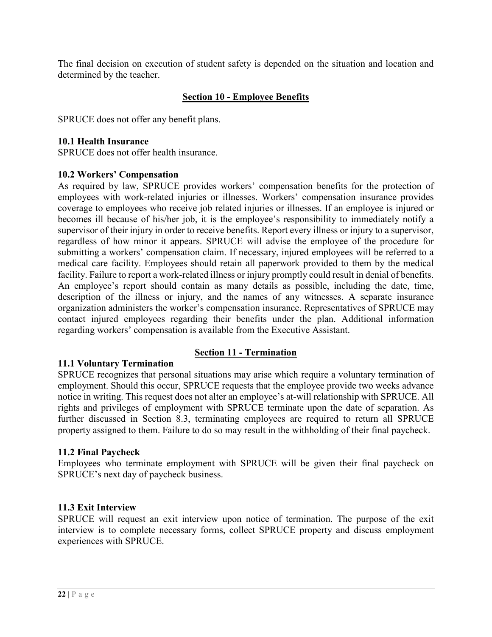The final decision on execution of student safety is depended on the situation and location and determined by the teacher.

#### **Section 10 - Employee Benefits**

SPRUCE does not offer any benefit plans.

#### **10.1 Health Insurance**

SPRUCE does not offer health insurance.

#### **10.2 Workers' Compensation**

As required by law, SPRUCE provides workers' compensation benefits for the protection of employees with work-related injuries or illnesses. Workers' compensation insurance provides coverage to employees who receive job related injuries or illnesses. If an employee is injured or becomes ill because of his/her job, it is the employee's responsibility to immediately notify a supervisor of their injury in order to receive benefits. Report every illness or injury to a supervisor, regardless of how minor it appears. SPRUCE will advise the employee of the procedure for submitting a workers' compensation claim. If necessary, injured employees will be referred to a medical care facility. Employees should retain all paperwork provided to them by the medical facility. Failure to report a work-related illness or injury promptly could result in denial of benefits. An employee's report should contain as many details as possible, including the date, time, description of the illness or injury, and the names of any witnesses. A separate insurance organization administers the worker's compensation insurance. Representatives of SPRUCE may contact injured employees regarding their benefits under the plan. Additional information regarding workers' compensation is available from the Executive Assistant.

#### **Section 11 - Termination**

#### **11.1 Voluntary Termination**

SPRUCE recognizes that personal situations may arise which require a voluntary termination of employment. Should this occur, SPRUCE requests that the employee provide two weeks advance notice in writing. This request does not alter an employee's at-will relationship with SPRUCE. All rights and privileges of employment with SPRUCE terminate upon the date of separation. As further discussed in Section 8.3, terminating employees are required to return all SPRUCE property assigned to them. Failure to do so may result in the withholding of their final paycheck.

#### **11.2 Final Paycheck**

Employees who terminate employment with SPRUCE will be given their final paycheck on SPRUCE's next day of paycheck business.

#### **11.3 Exit Interview**

SPRUCE will request an exit interview upon notice of termination. The purpose of the exit interview is to complete necessary forms, collect SPRUCE property and discuss employment experiences with SPRUCE.